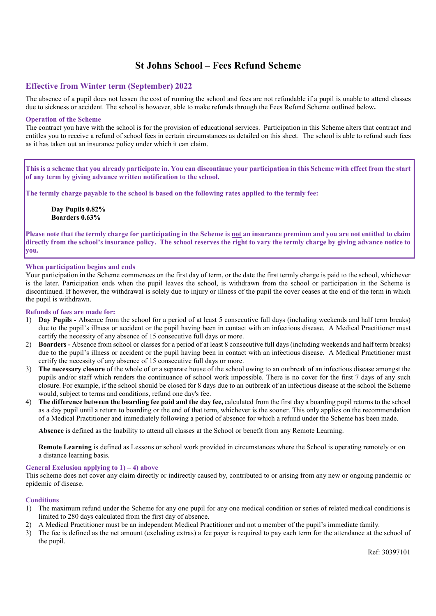# St Johns School – Fees Refund Scheme

# Effective from Winter term (September) 202**2**

The absence of a pupil does not lessen the cost of running the school and fees are not refundable if a pupil is unable to attend classes due to sickness or accident. The school is however, able to make refunds through the Fees Refund Scheme outlined below.

# Operation of the Scheme

The contract you have with the school is for the provision of educational services. Participation in this Scheme alters that contract and entitles you to receive a refund of school fees in certain circumstances as detailed on this sheet. The school is able to refund such fees as it has taken out an insurance policy under which it can claim.

This is a scheme that you already participate in. You can discontinue your participation in this Scheme with effect from the start of any term by giving advance written notification to the school.

The termly charge payable to the school is based on the following rates applied to the termly fee:

Day Pupils **0.82**% Boarders **0.63**%

Please note that the termly charge for participating in the Scheme is not an insurance premium and you are not entitled to claim directly from the school's insurance policy. The school reserves the right to vary the termly charge by giving advance notice to you.

# When participation begins and ends

Your participation in the Scheme commences on the first day of term, or the date the first termly charge is paid to the school, whichever is the later. Participation ends when the pupil leaves the school, is withdrawn from the school or participation in the Scheme is discontinued. If however, the withdrawal is solely due to injury or illness of the pupil the cover ceases at the end of the term in which the pupil is withdrawn.

# Refunds of fees are made for:

- 1) Day Pupils Absence from the school for a period of at least 5 consecutive full days (including weekends and half term breaks) due to the pupil's illness or accident or the pupil having been in contact with an infectious disease. A Medical Practitioner must certify the necessity of any absence of 15 consecutive full days or more.
- 2) Boarders Absence from school or classes for a period of at least 8 consecutive full days (including weekends and half term breaks) due to the pupil's illness or accident or the pupil having been in contact with an infectious disease. A Medical Practitioner must certify the necessity of any absence of 15 consecutive full days or more.
- 3) The necessary closure of the whole of or a separate house of the school owing to an outbreak of an infectious disease amongst the pupils and/or staff which renders the continuance of school work impossible. There is no cover for the first 7 days of any such closure. For example, if the school should be closed for 8 days due to an outbreak of an infectious disease at the school the Scheme would, subject to terms and conditions, refund one day's fee.
- 4) The difference between the boarding fee paid and the day fee, calculated from the first day a boarding pupil returns to the school as a day pupil until a return to boarding or the end of that term, whichever is the sooner. This only applies on the recommendation of a Medical Practitioner and immediately following a period of absence for which a refund under the Scheme has been made.

Absence is defined as the Inability to attend all classes at the School or benefit from any Remote Learning.

Remote Learning is defined as Lessons or school work provided in circumstances where the School is operating remotely or on a distance learning basis.

# General Exclusion applying to  $1$ ) – 4) above

This scheme does not cover any claim directly or indirectly caused by, contributed to or arising from any new or ongoing pandemic or epidemic of disease.

# **Conditions**

- 1) The maximum refund under the Scheme for any one pupil for any one medical condition or series of related medical conditions is limited to 280 days calculated from the first day of absence.
- 2) A Medical Practitioner must be an independent Medical Practitioner and not a member of the pupil's immediate family.
- 3) The fee is defined as the net amount (excluding extras) a fee payer is required to pay each term for the attendance at the school of the pupil.